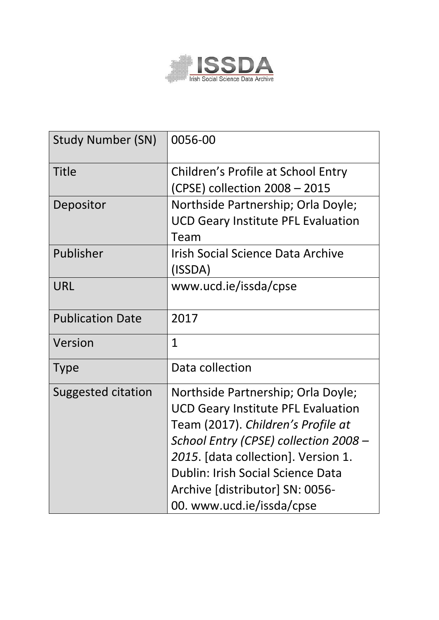

| <b>Study Number (SN)</b>  | 0056-00                                                                                                                                                                                                                                                                                                    |
|---------------------------|------------------------------------------------------------------------------------------------------------------------------------------------------------------------------------------------------------------------------------------------------------------------------------------------------------|
| <b>Title</b>              | Children's Profile at School Entry<br>(CPSE) collection 2008 - 2015                                                                                                                                                                                                                                        |
| Depositor                 | Northside Partnership; Orla Doyle;<br><b>UCD Geary Institute PFL Evaluation</b><br>Team                                                                                                                                                                                                                    |
| Publisher                 | <b>Irish Social Science Data Archive</b><br>(ISSDA)                                                                                                                                                                                                                                                        |
| URL                       | www.ucd.ie/issda/cpse                                                                                                                                                                                                                                                                                      |
| <b>Publication Date</b>   | 2017                                                                                                                                                                                                                                                                                                       |
| Version                   | $\mathbf{1}$                                                                                                                                                                                                                                                                                               |
| <b>Type</b>               | Data collection                                                                                                                                                                                                                                                                                            |
| <b>Suggested citation</b> | Northside Partnership; Orla Doyle;<br><b>UCD Geary Institute PFL Evaluation</b><br>Team (2017). Children's Profile at<br>School Entry (CPSE) collection 2008 -<br>2015. [data collection]. Version 1.<br>Dublin: Irish Social Science Data<br>Archive [distributor] SN: 0056-<br>00. www.ucd.ie/issda/cpse |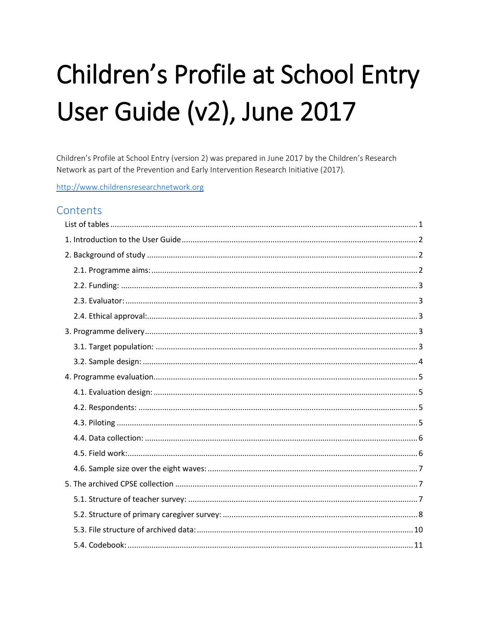# Children's Profile at School Entry User Guide (v2), June 2017

Children's Profile at School Entry (version 2) was prepared in June 2017 by the Children's Research Network as part of the Prevention and Early Intervention Research Initiative (2017).

http://www.childrensresearchnetwork.org

## Contents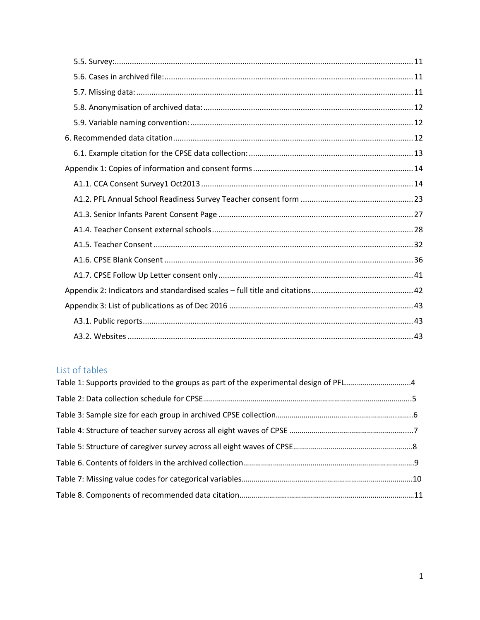# <span id="page-2-0"></span>List of tables

| Table 1: Supports provided to the groups as part of the experimental design of PFL4 |  |
|-------------------------------------------------------------------------------------|--|
|                                                                                     |  |
|                                                                                     |  |
|                                                                                     |  |
|                                                                                     |  |
|                                                                                     |  |
|                                                                                     |  |
|                                                                                     |  |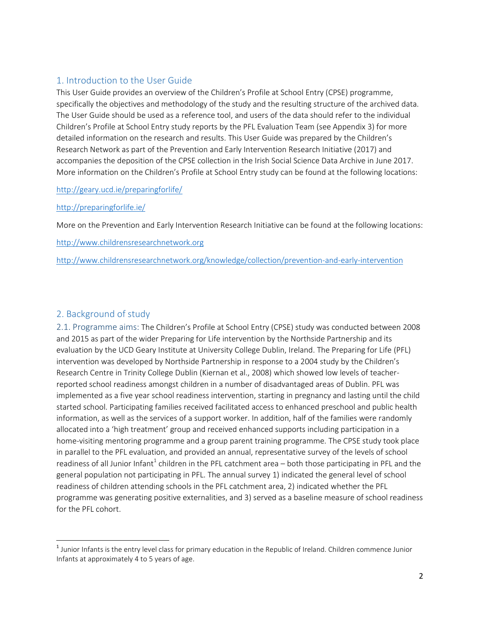#### <span id="page-3-0"></span>1. Introduction to the User Guide

This User Guide provides an overview of the Children's Profile at School Entry (CPSE) programme, specifically the objectives and methodology of the study and the resulting structure of the archived data. The User Guide should be used as a reference tool, and users of the data should refer to the individual Children's Profile at School Entry study reports by the PFL Evaluation Team (see Appendix 3) for more detailed information on the research and results. This User Guide was prepared by the Children's Research Network as part of the Prevention and Early Intervention Research Initiative (2017) and accompanies the deposition of the CPSE collection in the Irish Social Science Data Archive in June 2017. More information on the Children's Profile at School Entry study can be found at the following locations:

#### <http://geary.ucd.ie/preparingforlife/>

#### <http://preparingforlife.ie/>

More on the Prevention and Early Intervention Research Initiative can be found at the following locations:

[http://www.childrensresearchnetwork.org](http://www.childrensresearchnetwork.org/)

<http://www.childrensresearchnetwork.org/knowledge/collection/prevention-and-early-intervention>

#### <span id="page-3-1"></span>2. Background of study

<span id="page-3-2"></span>2.1. Programme aims: The Children's Profile at School Entry (CPSE) study was conducted between 2008 and 2015 as part of the wider Preparing for Life intervention by the Northside Partnership and its evaluation by the UCD Geary Institute at University College Dublin, Ireland. The Preparing for Life (PFL) intervention was developed by Northside Partnership in response to a 2004 study by the Children's Research Centre in Trinity College Dublin (Kiernan et al., 2008) which showed low levels of teacherreported school readiness amongst children in a number of disadvantaged areas of Dublin. PFL was implemented as a five year school readiness intervention, starting in pregnancy and lasting until the child started school. Participating families received facilitated access to enhanced preschool and public health information, as well as the services of a support worker. In addition, half of the families were randomly allocated into a 'high treatment' group and received enhanced supports including participation in a home-visiting mentoring programme and a group parent training programme. The CPSE study took place in parallel to the PFL evaluation, and provided an annual, representative survey of the levels of school readiness of all Junior Infant $^1$  children in the PFL catchment area – both those participating in PFL and the general population not participating in PFL. The annual survey 1) indicated the general level of school readiness of children attending schools in the PFL catchment area, 2) indicated whether the PFL programme was generating positive externalities, and 3) served as a baseline measure of school readiness for the PFL cohort.

l  $^{\text{1}}$  Junior Infants is the entry level class for primary education in the Republic of Ireland. Children commence Junior Infants at approximately 4 to 5 years of age.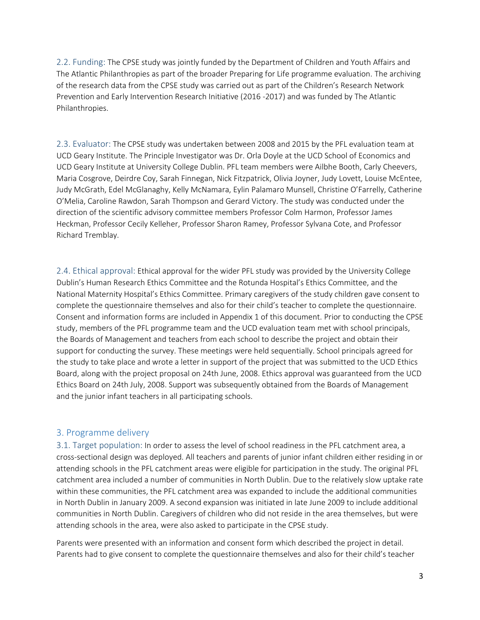<span id="page-4-0"></span>2.2. Funding: The CPSE study was jointly funded by the Department of Children and Youth Affairs and The Atlantic Philanthropies as part of the broader Preparing for Life programme evaluation. The archiving of the research data from the CPSE study was carried out as part of the Children's Research Network Prevention and Early Intervention Research Initiative (2016 -2017) and was funded by The Atlantic Philanthropies.

<span id="page-4-1"></span>2.3. Evaluator: The CPSE study was undertaken between 2008 and 2015 by the PFL evaluation team at UCD Geary Institute. The Principle Investigator was Dr. Orla Doyle at the UCD School of Economics and UCD Geary Institute at University College Dublin. PFL team members were Ailbhe Booth, Carly Cheevers, Maria Cosgrove, Deirdre Coy, Sarah Finnegan, Nick Fitzpatrick, Olivia Joyner, Judy Lovett, Louise McEntee, Judy McGrath, Edel McGlanaghy, Kelly McNamara, Eylin Palamaro Munsell, Christine O'Farrelly, Catherine O'Melia, Caroline Rawdon, Sarah Thompson and Gerard Victory. The study was conducted under the direction of the scientific advisory committee members Professor Colm Harmon, Professor James Heckman, Professor Cecily Kelleher, Professor Sharon Ramey, Professor Sylvana Cote, and Professor Richard Tremblay.

<span id="page-4-2"></span>2.4. Ethical approval: Ethical approval for the wider PFL study was provided by the University College Dublin's Human Research Ethics Committee and the Rotunda Hospital's Ethics Committee, and the National Maternity Hospital's Ethics Committee. Primary caregivers of the study children gave consent to complete the questionnaire themselves and also for their child's teacher to complete the questionnaire. Consent and information forms are included in Appendix 1 of this document. Prior to conducting the CPSE study, members of the PFL programme team and the UCD evaluation team met with school principals, the Boards of Management and teachers from each school to describe the project and obtain their support for conducting the survey. These meetings were held sequentially. School principals agreed for the study to take place and wrote a letter in support of the project that was submitted to the UCD Ethics Board, along with the project proposal on 24th June, 2008. Ethics approval was guaranteed from the UCD Ethics Board on 24th July, 2008. Support was subsequently obtained from the Boards of Management and the junior infant teachers in all participating schools.

#### <span id="page-4-3"></span>3. Programme delivery

<span id="page-4-4"></span>3.1. Target population: In order to assess the level of school readiness in the PFL catchment area, a cross-sectional design was deployed. All teachers and parents of junior infant children either residing in or attending schools in the PFL catchment areas were eligible for participation in the study. The original PFL catchment area included a number of communities in North Dublin. Due to the relatively slow uptake rate within these communities, the PFL catchment area was expanded to include the additional communities in North Dublin in January 2009. A second expansion was initiated in late June 2009 to include additional communities in North Dublin. Caregivers of children who did not reside in the area themselves, but were attending schools in the area, were also asked to participate in the CPSE study.

Parents were presented with an information and consent form which described the project in detail. Parents had to give consent to complete the questionnaire themselves and also for their child's teacher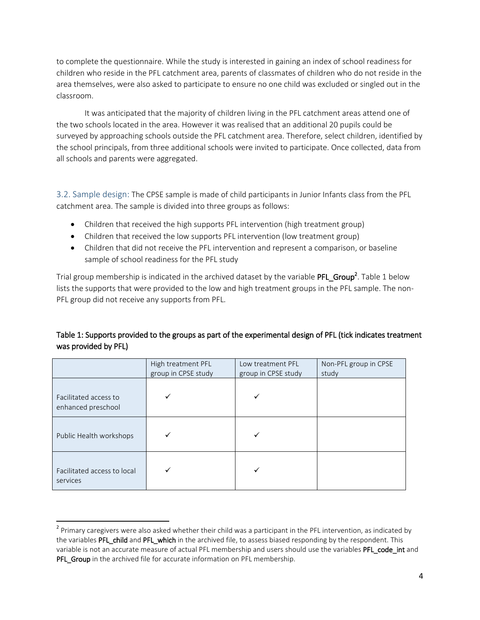to complete the questionnaire. While the study is interested in gaining an index of school readiness for children who reside in the PFL catchment area, parents of classmates of children who do not reside in the area themselves, were also asked to participate to ensure no one child was excluded or singled out in the classroom.

It was anticipated that the majority of children living in the PFL catchment areas attend one of the two schools located in the area. However it was realised that an additional 20 pupils could be surveyed by approaching schools outside the PFL catchment area. Therefore, select children, identified by the school principals, from three additional schools were invited to participate. Once collected, data from all schools and parents were aggregated.

<span id="page-5-0"></span>3.2. Sample design: The CPSE sample is made of child participants in Junior Infants class from the PFL catchment area. The sample is divided into three groups as follows:

- Children that received the high supports PFL intervention (high treatment group)
- Children that received the low supports PFL intervention (low treatment group)
- Children that did not receive the PFL intervention and represent a comparison, or baseline sample of school readiness for the PFL study

Trial group membership is indicated in the archived dataset by the variable  ${\sf PFL\_Group}^2$ . Table 1 below lists the supports that were provided to the low and high treatment groups in the PFL sample. The non-PFL group did not receive any supports from PFL.

#### Table 1: Supports provided to the groups as part of the experimental design of PFL (tick indicates treatment was provided by PFL)

|                                             | High treatment PFL<br>group in CPSE study | Low treatment PFL<br>group in CPSE study | Non-PFL group in CPSE<br>study |
|---------------------------------------------|-------------------------------------------|------------------------------------------|--------------------------------|
| Facilitated access to<br>enhanced preschool |                                           | ✓                                        |                                |
| Public Health workshops                     |                                           |                                          |                                |
| Facilitated access to local<br>services     |                                           |                                          |                                |

 $\overline{a}$ 

<sup>&</sup>lt;sup>2</sup> Primary caregivers were also asked whether their child was a participant in the PFL intervention, as indicated by the variables PFL child and PFL which in the archived file, to assess biased responding by the respondent. This variable is not an accurate measure of actual PFL membership and users should use the variables PFL code int and PFL\_Group in the archived file for accurate information on PFL membership.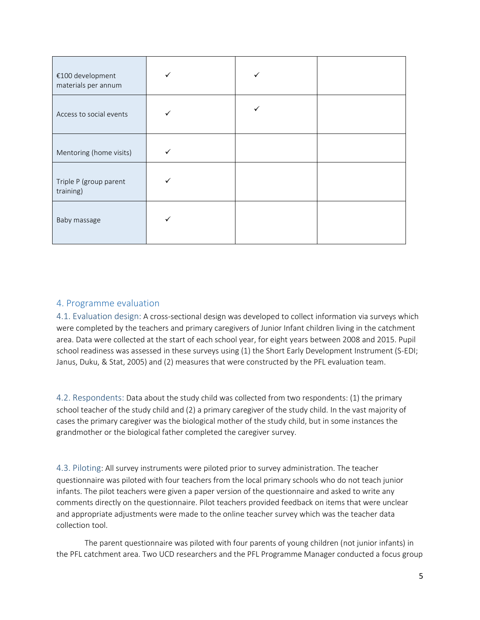| €100 development<br>materials per annum | ✓ |  |
|-----------------------------------------|---|--|
| Access to social events                 |   |  |
| Mentoring (home visits)                 | ✓ |  |
| Triple P (group parent<br>training)     |   |  |
| Baby massage                            |   |  |

#### <span id="page-6-0"></span>4. Programme evaluation

<span id="page-6-1"></span>4.1. Evaluation design: A cross-sectional design was developed to collect information via surveys which were completed by the teachers and primary caregivers of Junior Infant children living in the catchment area. Data were collected at the start of each school year, for eight years between 2008 and 2015. Pupil school readiness was assessed in these surveys using (1) the Short Early Development Instrument (S-EDI; Janus, Duku, & Stat, 2005) and (2) measures that were constructed by the PFL evaluation team.

<span id="page-6-2"></span>4.2. Respondents: Data about the study child was collected from two respondents: (1) the primary school teacher of the study child and (2) a primary caregiver of the study child. In the vast majority of cases the primary caregiver was the biological mother of the study child, but in some instances the grandmother or the biological father completed the caregiver survey.

<span id="page-6-3"></span>4.3. Piloting: All survey instruments were piloted prior to survey administration. The teacher questionnaire was piloted with four teachers from the local primary schools who do not teach junior infants. The pilot teachers were given a paper version of the questionnaire and asked to write any comments directly on the questionnaire. Pilot teachers provided feedback on items that were unclear and appropriate adjustments were made to the online teacher survey which was the teacher data collection tool.

The parent questionnaire was piloted with four parents of young children (not junior infants) in the PFL catchment area. Two UCD researchers and the PFL Programme Manager conducted a focus group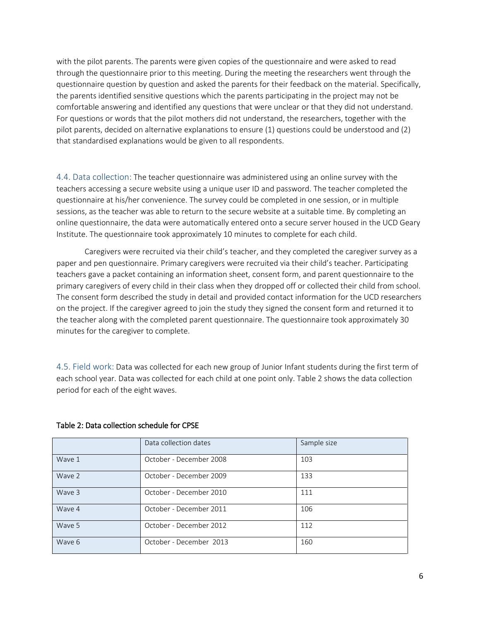with the pilot parents. The parents were given copies of the questionnaire and were asked to read through the questionnaire prior to this meeting. During the meeting the researchers went through the questionnaire question by question and asked the parents for their feedback on the material. Specifically, the parents identified sensitive questions which the parents participating in the project may not be comfortable answering and identified any questions that were unclear or that they did not understand. For questions or words that the pilot mothers did not understand, the researchers, together with the pilot parents, decided on alternative explanations to ensure (1) questions could be understood and (2) that standardised explanations would be given to all respondents.

<span id="page-7-0"></span>4.4. Data collection: The teacher questionnaire was administered using an online survey with the teachers accessing a secure website using a unique user ID and password. The teacher completed the questionnaire at his/her convenience. The survey could be completed in one session, or in multiple sessions, as the teacher was able to return to the secure website at a suitable time. By completing an online questionnaire, the data were automatically entered onto a secure server housed in the UCD Geary Institute. The questionnaire took approximately 10 minutes to complete for each child.

Caregivers were recruited via their child's teacher, and they completed the caregiver survey as a paper and pen questionnaire. Primary caregivers were recruited via their child's teacher. Participating teachers gave a packet containing an information sheet, consent form, and parent questionnaire to the primary caregivers of every child in their class when they dropped off or collected their child from school. The consent form described the study in detail and provided contact information for the UCD researchers on the project. If the caregiver agreed to join the study they signed the consent form and returned it to the teacher along with the completed parent questionnaire. The questionnaire took approximately 30 minutes for the caregiver to complete.

<span id="page-7-1"></span>4.5. Field work: Data was collected for each new group of Junior Infant students during the first term of each school year. Data was collected for each child at one point only. Table 2 shows the data collection period for each of the eight waves.

|        | Data collection dates   | Sample size |
|--------|-------------------------|-------------|
| Wave 1 | October - December 2008 | 103         |
| Wave 2 | October - December 2009 | 133         |
| Wave 3 | October - December 2010 | 111         |
| Wave 4 | October - December 2011 | 106         |
| Wave 5 | October - December 2012 | 112         |
| Wave 6 | October - December 2013 | 160         |

#### Table 2: Data collection schedule for CPSE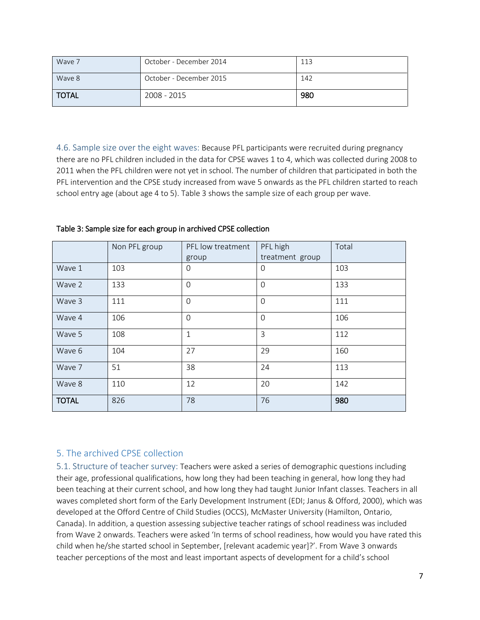| Wave 7       | October - December 2014 | 113 |
|--------------|-------------------------|-----|
| Wave 8       | October - December 2015 | 142 |
| <b>TOTAL</b> | 2008 - 2015             | 980 |

<span id="page-8-0"></span>4.6. Sample size over the eight waves: Because PFL participants were recruited during pregnancy there are no PFL children included in the data for CPSE waves 1 to 4, which was collected during 2008 to 2011 when the PFL children were not yet in school. The number of children that participated in both the PFL intervention and the CPSE study increased from wave 5 onwards as the PFL children started to reach school entry age (about age 4 to 5). Table 3 shows the sample size of each group per wave.

|              | Non PFL group   | PFL low treatment | PFL high        |     |
|--------------|-----------------|-------------------|-----------------|-----|
|              |                 | group             | treatment group |     |
| Wave 1       | 103<br>$\Omega$ |                   | $\mathbf 0$     | 103 |
| Wave 2       | 133             | $\Omega$          | $\mathbf 0$     | 133 |
| Wave 3       | 111             | $\Omega$          | $\mathbf 0$     | 111 |
| Wave 4       | 106             | $\Omega$          | $\Omega$        | 106 |
| Wave 5       | 108             | $\mathbf{1}$      | 3               | 112 |
| Wave 6       | 104             | 27                | 29              | 160 |
| Wave 7       | 51              | 38                | 24              | 113 |
| Wave 8       | 110             | 12                | 20              | 142 |
| <b>TOTAL</b> | 826             | 78                | 76              | 980 |

Table 3: Sample size for each group in archived CPSE collection

#### <span id="page-8-1"></span>5. The archived CPSE collection

<span id="page-8-2"></span>5.1. Structure of teacher survey: Teachers were asked a series of demographic questions including their age, professional qualifications, how long they had been teaching in general, how long they had been teaching at their current school, and how long they had taught Junior Infant classes. Teachers in all waves completed short form of the Early Development Instrument (EDI; Janus & Offord, 2000), which was developed at the Offord Centre of Child Studies (OCCS), McMaster University (Hamilton, Ontario, Canada). In addition, a question assessing subjective teacher ratings of school readiness was included from Wave 2 onwards. Teachers were asked 'In terms of school readiness, how would you have rated this child when he/she started school in September, [relevant academic year]?'. From Wave 3 onwards teacher perceptions of the most and least important aspects of development for a child's school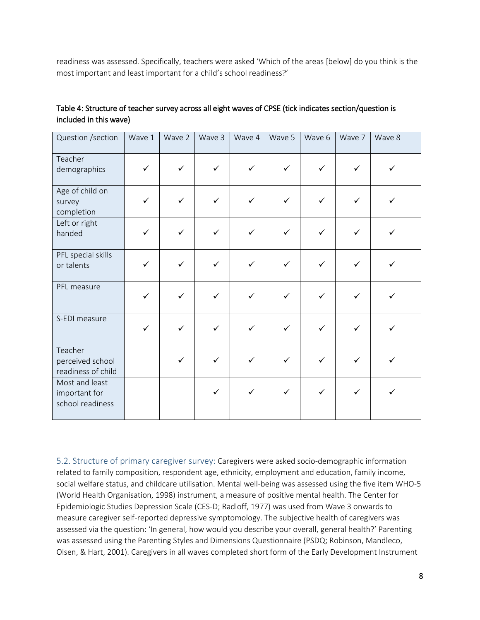readiness was assessed. Specifically, teachers were asked 'Which of the areas [below] do you think is the most important and least important for a child's school readiness?'

| Table 4: Structure of teacher survey across all eight waves of CPSE (tick indicates section/question is |  |
|---------------------------------------------------------------------------------------------------------|--|
| included in this wave)                                                                                  |  |

| Question /section                                   | Wave 1       | Wave 2       | Wave 3       | Wave 4       | Wave 5       | Wave 6       | Wave 7       | Wave 8       |
|-----------------------------------------------------|--------------|--------------|--------------|--------------|--------------|--------------|--------------|--------------|
| Teacher<br>demographics                             | $\checkmark$ | $\checkmark$ | $\checkmark$ | $\checkmark$ | $\checkmark$ | $\checkmark$ | $\checkmark$ | $\checkmark$ |
| Age of child on<br>survey<br>completion             | $\checkmark$ | $\checkmark$ | $\checkmark$ | $\checkmark$ | $\checkmark$ | $\checkmark$ | $\checkmark$ | ✓            |
| Left or right<br>handed                             | $\checkmark$ | $\checkmark$ | $\checkmark$ | $\checkmark$ | $\checkmark$ | $\checkmark$ | $\checkmark$ | ✓            |
| PFL special skills<br>or talents                    | $\checkmark$ | $\checkmark$ | $\checkmark$ | $\checkmark$ | $\checkmark$ | $\checkmark$ | $\checkmark$ | ✓            |
| PFL measure                                         | $\checkmark$ | $\checkmark$ | $\checkmark$ | $\checkmark$ | $\checkmark$ | $\checkmark$ | $\checkmark$ | $\checkmark$ |
| S-EDI measure                                       | $\checkmark$ | $\checkmark$ | $\checkmark$ | $\checkmark$ | $\checkmark$ | $\checkmark$ | $\checkmark$ | ✓            |
| Teacher<br>perceived school<br>readiness of child   |              | $\checkmark$ | $\checkmark$ | $\checkmark$ | $\checkmark$ | $\checkmark$ | $\checkmark$ | ✓            |
| Most and least<br>important for<br>school readiness |              |              | $\checkmark$ | $\checkmark$ | $\checkmark$ | $\checkmark$ | $\checkmark$ | ✓            |

<span id="page-9-0"></span>5.2. Structure of primary caregiver survey: Caregivers were asked socio-demographic information related to family composition, respondent age, ethnicity, employment and education, family income, social welfare status, and childcare utilisation. Mental well-being was assessed using the five item WHO-5 (World Health Organisation, 1998) instrument, a measure of positive mental health. The Center for Epidemiologic Studies Depression Scale (CES-D; Radloff, 1977) was used from Wave 3 onwards to measure caregiver self-reported depressive symptomology. The subjective health of caregivers was assessed via the question: 'In general, how would you describe your overall, general health?' Parenting was assessed using the Parenting Styles and Dimensions Questionnaire (PSDQ; Robinson, Mandleco, Olsen, & Hart, 2001). Caregivers in all waves completed short form of the Early Development Instrument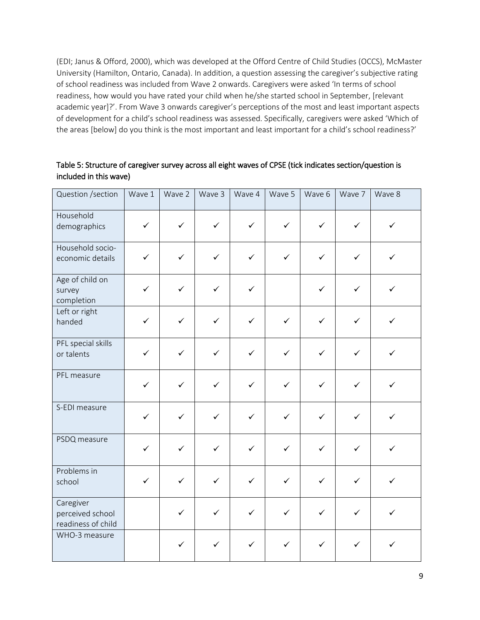(EDI; Janus & Offord, 2000), which was developed at the Offord Centre of Child Studies (OCCS), McMaster University (Hamilton, Ontario, Canada). In addition, a question assessing the caregiver's subjective rating of school readiness was included from Wave 2 onwards. Caregivers were asked 'In terms of school readiness, how would you have rated your child when he/she started school in September, [relevant academic year]?'. From Wave 3 onwards caregiver's perceptions of the most and least important aspects of development for a child's school readiness was assessed. Specifically, caregivers were asked 'Which of the areas [below] do you think is the most important and least important for a child's school readiness?'

Table 5: Structure of caregiver survey across all eight waves of CPSE (tick indicates section/question is included in this wave)

| Question /section                                   | Wave 1       | Wave 2       | Wave 3       | Wave 4       | Wave 5       | Wave 6       | Wave 7       | Wave 8       |
|-----------------------------------------------------|--------------|--------------|--------------|--------------|--------------|--------------|--------------|--------------|
| Household<br>demographics                           | $\checkmark$ | $\checkmark$ | $\checkmark$ | $\checkmark$ | $\checkmark$ | $\checkmark$ | $\checkmark$ | $\checkmark$ |
| Household socio-<br>economic details                | $\checkmark$ | $\checkmark$ | $\checkmark$ | $\checkmark$ | $\checkmark$ | $\checkmark$ | $\checkmark$ | ✓            |
| Age of child on<br>survey<br>completion             | $\checkmark$ | $\checkmark$ | $\checkmark$ | $\checkmark$ |              | $\checkmark$ | $\checkmark$ | $\checkmark$ |
| Left or right<br>handed                             | $\checkmark$ | $\checkmark$ | $\checkmark$ | $\checkmark$ | $\checkmark$ | $\checkmark$ | $\checkmark$ | $\checkmark$ |
| PFL special skills<br>or talents                    | $\checkmark$ | $\checkmark$ | $\checkmark$ | $\checkmark$ | $\checkmark$ | $\checkmark$ | $\checkmark$ | $\checkmark$ |
| PFL measure                                         | $\checkmark$ | $\checkmark$ | $\checkmark$ | $\checkmark$ | $\checkmark$ | $\checkmark$ | $\checkmark$ | $\checkmark$ |
| S-EDI measure                                       | $\checkmark$ | $\checkmark$ | $\checkmark$ | $\checkmark$ | $\checkmark$ | $\checkmark$ | $\checkmark$ | $\checkmark$ |
| PSDQ measure                                        | $\checkmark$ | $\checkmark$ | $\checkmark$ | $\checkmark$ | $\checkmark$ | $\checkmark$ | $\checkmark$ | $\checkmark$ |
| Problems in<br>school                               | $\checkmark$ | $\checkmark$ | $\checkmark$ | $\checkmark$ | $\checkmark$ | $\checkmark$ | $\checkmark$ | $\checkmark$ |
| Caregiver<br>perceived school<br>readiness of child |              | $\checkmark$ | $\checkmark$ | $\checkmark$ | $\checkmark$ | $\checkmark$ | $\checkmark$ | $\checkmark$ |
| WHO-3 measure                                       |              | $\checkmark$ | $\checkmark$ | $\checkmark$ | $\checkmark$ | $\checkmark$ | $\checkmark$ | $\checkmark$ |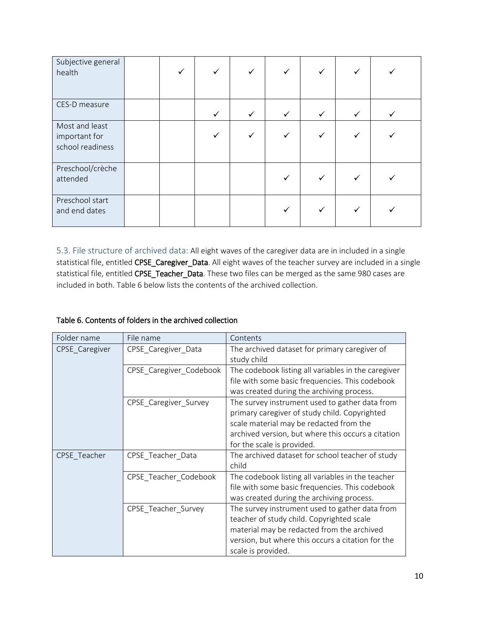| Subjective general<br>health                        |  |              | ✓            |              | ✓            |              |  |
|-----------------------------------------------------|--|--------------|--------------|--------------|--------------|--------------|--|
| CES-D measure                                       |  | $\checkmark$ | $\checkmark$ | $\checkmark$ | $\checkmark$ | $\checkmark$ |  |
| Most and least<br>important for<br>school readiness |  |              | ✓            |              |              |              |  |
| Preschool/crèche<br>attended                        |  |              |              |              | ✓            |              |  |
| Preschool start<br>and end dates                    |  |              |              |              | ✓            |              |  |

<span id="page-11-0"></span>5.3. File structure of archived data: All eight waves of the caregiver data are in included in a single statistical file, entitled CPSE\_Caregiver\_Data. All eight waves of the teacher survey are included in a single statistical file, entitled CPSE\_Teacher\_Data. These two files can be merged as the same 980 cases are included in both. Table 6 below lists the contents of the archived collection.

#### Table 6. Contents of folders in the archived collection

| Folder name    | File name               | Contents                                                                                                                                                                                                                       |  |  |
|----------------|-------------------------|--------------------------------------------------------------------------------------------------------------------------------------------------------------------------------------------------------------------------------|--|--|
| CPSE Caregiver | CPSE Caregiver Data     | The archived dataset for primary caregiver of<br>study child                                                                                                                                                                   |  |  |
|                | CPSE_Caregiver_Codebook | The codebook listing all variables in the caregiver<br>file with some basic frequencies. This codebook<br>was created during the archiving process.                                                                            |  |  |
|                | CPSE Caregiver Survey   | The survey instrument used to gather data from<br>primary caregiver of study child. Copyrighted<br>scale material may be redacted from the<br>archived version, but where this occurs a citation<br>for the scale is provided. |  |  |
| CPSE Teacher   | CPSE_Teacher_Data       | The archived dataset for school teacher of study<br>child                                                                                                                                                                      |  |  |
|                | CPSE_Teacher_Codebook   | The codebook listing all variables in the teacher<br>file with some basic frequencies. This codebook<br>was created during the archiving process.                                                                              |  |  |
|                | CPSE Teacher Survey     | The survey instrument used to gather data from<br>teacher of study child. Copyrighted scale<br>material may be redacted from the archived<br>version, but where this occurs a citation for the<br>scale is provided.           |  |  |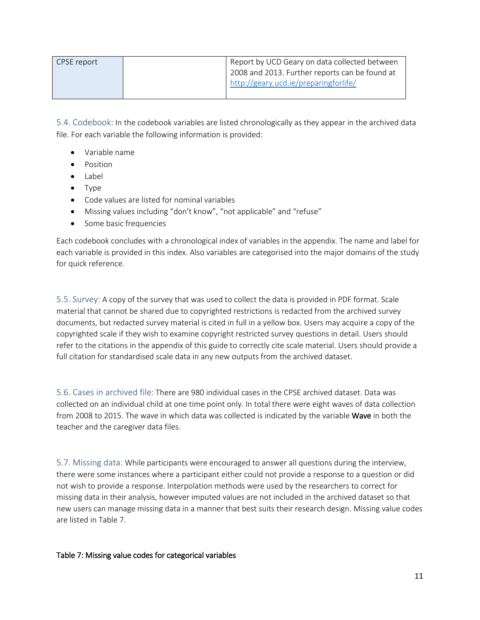| CPSE report | Report by UCD Geary on data collected between  |
|-------------|------------------------------------------------|
|             | 2008 and 2013. Further reports can be found at |
|             | http://geary.ucd.ie/preparingforlife/          |
|             |                                                |

<span id="page-12-0"></span>5.4. Codebook: In the codebook variables are listed chronologically as they appear in the archived data file. For each variable the following information is provided:

- Variable name
- Position
- Label
- Type
- Code values are listed for nominal variables
- Missing values including "don't know", "not applicable" and "refuse"
- Some basic frequencies

Each codebook concludes with a chronological index of variables in the appendix. The name and label for each variable is provided in this index. Also variables are categorised into the major domains of the study for quick reference.

<span id="page-12-1"></span>5.5. Survey: A copy of the survey that was used to collect the data is provided in PDF format. Scale material that cannot be shared due to copyrighted restrictions is redacted from the archived survey documents, but redacted survey material is cited in full in a yellow box. Users may acquire a copy of the copyrighted scale if they wish to examine copyright restricted survey questions in detail. Users should refer to the citations in the appendix of this guide to correctly cite scale material. Users should provide a full citation for standardised scale data in any new outputs from the archived dataset.

<span id="page-12-2"></span>5.6. Cases in archived file: There are 980 individual cases in the CPSE archived dataset. Data was collected on an individual child at one time point only. In total there were eight waves of data collection from 2008 to 2015. The wave in which data was collected is indicated by the variable Wave in both the teacher and the caregiver data files.

<span id="page-12-3"></span>5.7. Missing data: While participants were encouraged to answer all questions during the interview, there were some instances where a participant either could not provide a response to a question or did not wish to provide a response. Interpolation methods were used by the researchers to correct for missing data in their analysis, however imputed values are not included in the archived dataset so that new users can manage missing data in a manner that best suits their research design. Missing value codes are listed in Table 7.

#### Table 7: Missing value codes for categorical variables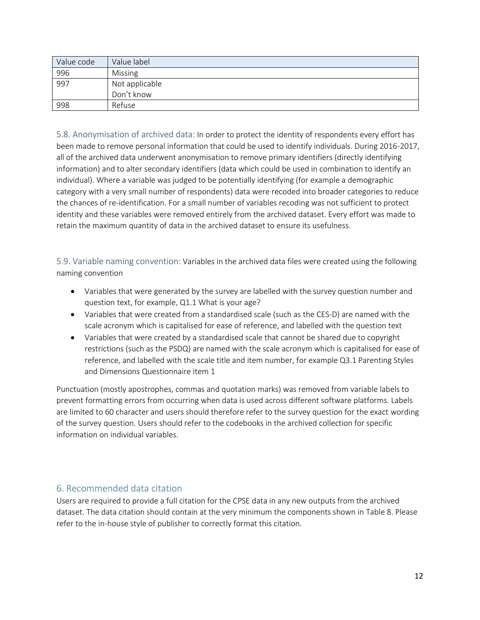| Value code | Value label    |
|------------|----------------|
| 996        | Missing        |
| 997        | Not applicable |
|            | Don't know     |
| 998        | Refuse         |

<span id="page-13-0"></span>5.8. Anonymisation of archived data: In order to protect the identity of respondents every effort has been made to remove personal information that could be used to identify individuals. During 2016-2017, all of the archived data underwent anonymisation to remove primary identifiers (directly identifying information) and to alter secondary identifiers (data which could be used in combination to identify an individual). Where a variable was judged to be potentially identifying (for example a demographic category with a very small number of respondents) data were recoded into broader categories to reduce the chances of re-identification. For a small number of variables recoding was not sufficient to protect identity and these variables were removed entirely from the archived dataset. Every effort was made to retain the maximum quantity of data in the archived dataset to ensure its usefulness.

<span id="page-13-1"></span>5.9. Variable naming convention: Variables in the archived data files were created using the following naming convention

- Variables that were generated by the survey are labelled with the survey question number and question text, for example, Q1.1 What is your age?
- Variables that were created from a standardised scale (such as the CES-D) are named with the scale acronym which is capitalised for ease of reference, and labelled with the question text
- Variables that were created by a standardised scale that cannot be shared due to copyright restrictions (such as the PSDQ) are named with the scale acronym which is capitalised for ease of reference, and labelled with the scale title and item number, for example Q3.1 Parenting Styles and Dimensions Questionnaire item 1

Punctuation (mostly apostrophes, commas and quotation marks) was removed from variable labels to prevent formatting errors from occurring when data is used across different software platforms. Labels are limited to 60 character and users should therefore refer to the survey question for the exact wording of the survey question. Users should refer to the codebooks in the archived collection for specific information on individual variables.

#### <span id="page-13-2"></span>6. Recommended data citation

Users are required to provide a full citation for the CPSE data in any new outputs from the archived dataset. The data citation should contain at the very minimum the components shown in Table 8. Please refer to the in-house style of publisher to correctly format this citation.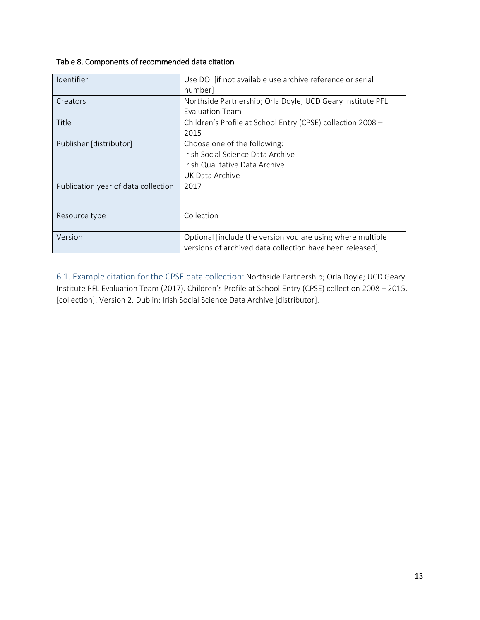## Table 8. Components of recommended data citation

| Identifier                          | Use DOI [if not available use archive reference or serial   |
|-------------------------------------|-------------------------------------------------------------|
|                                     | number                                                      |
| Creators                            | Northside Partnership; Orla Doyle; UCD Geary Institute PFL  |
|                                     | Evaluation Team                                             |
| Title                               | Children's Profile at School Entry (CPSE) collection 2008 - |
|                                     | 2015                                                        |
| Publisher [distributor]             | Choose one of the following:                                |
|                                     | Irish Social Science Data Archive                           |
|                                     | Irish Qualitative Data Archive                              |
|                                     | UK Data Archive                                             |
| Publication year of data collection | 2017                                                        |
|                                     |                                                             |
|                                     |                                                             |
| Resource type                       | Collection                                                  |
|                                     |                                                             |
| Version                             | Optional [include the version you are using where multiple  |
|                                     | versions of archived data collection have been released]    |

<span id="page-14-0"></span>6.1. Example citation for the CPSE data collection: Northside Partnership; Orla Doyle; UCD Geary Institute PFL Evaluation Team (2017). Children's Profile at School Entry (CPSE) collection 2008 – 2015. [collection]. Version 2. Dublin: Irish Social Science Data Archive [distributor].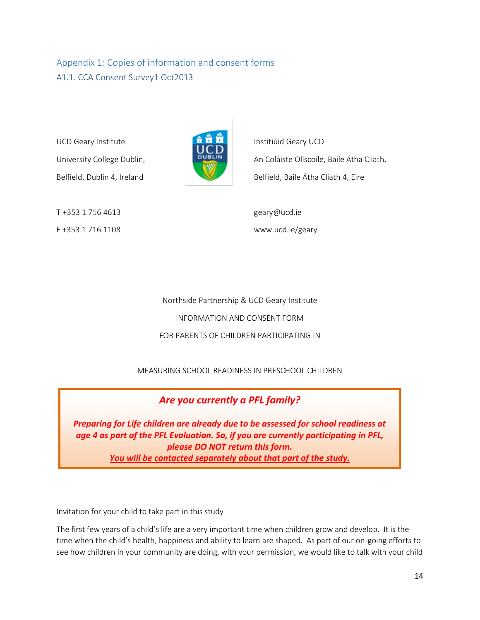# <span id="page-15-1"></span><span id="page-15-0"></span>Appendix 1: Copies of information and consent forms A1.1. CCA Consent Survey1 Oct2013

UCD Geary Institute **Institute** Institute Institute Institute Institute Institute



University College Dublin, **DUBLIN** An Coláiste Ollscoile, Baile Átha Cliath, Belfield, Dublin 4, Ireland Belfield, Baile Átha Cliath 4, Eire

T +353 1 716 4613 geary@ucd.ie F +353 1 716 1108 www.ucd.ie/geary

Northside Partnership & UCD Geary Institute INFORMATION AND CONSENT FORM FOR PARENTS OF CHILDREN PARTICIPATING IN

MEASURING SCHOOL READINESS IN PRESCHOOL CHILDREN

*Are you currently a PFL family?*

*Preparing for Life children are already due to be assessed for school readiness at age 4 as part of the PFL Evaluation. So, if you are currently participating in PFL, please DO NOT return this form. You will be contacted separately about that part of the study.*

Invitation for your child to take part in this study

The first few years of a child's life are a very important time when children grow and develop. It is the time when the child's health, happiness and ability to learn are shaped. As part of our on-going efforts to see how children in your community are doing, with your permission, we would like to talk with your child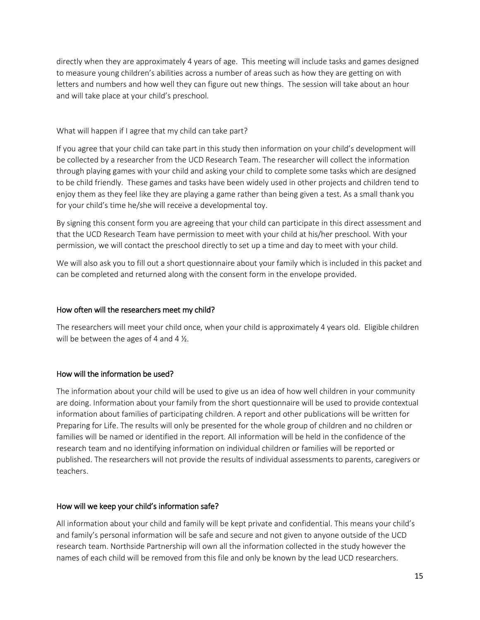directly when they are approximately 4 years of age. This meeting will include tasks and games designed to measure young children's abilities across a number of areas such as how they are getting on with letters and numbers and how well they can figure out new things. The session will take about an hour and will take place at your child's preschool.

#### What will happen if I agree that my child can take part?

If you agree that your child can take part in this study then information on your child's development will be collected by a researcher from the UCD Research Team. The researcher will collect the information through playing games with your child and asking your child to complete some tasks which are designed to be child friendly. These games and tasks have been widely used in other projects and children tend to enjoy them as they feel like they are playing a game rather than being given a test. As a small thank you for your child's time he/she will receive a developmental toy.

By signing this consent form you are agreeing that your child can participate in this direct assessment and that the UCD Research Team have permission to meet with your child at his/her preschool. With your permission, we will contact the preschool directly to set up a time and day to meet with your child.

We will also ask you to fill out a short questionnaire about your family which is included in this packet and can be completed and returned along with the consent form in the envelope provided.

#### How often will the researchers meet my child?

The researchers will meet your child once, when your child is approximately 4 years old. Eligible children will be between the ages of 4 and 4  $\frac{1}{2}$ .

#### How will the information be used?

The information about your child will be used to give us an idea of how well children in your community are doing. Information about your family from the short questionnaire will be used to provide contextual information about families of participating children. A report and other publications will be written for Preparing for Life. The results will only be presented for the whole group of children and no children or families will be named or identified in the report. All information will be held in the confidence of the research team and no identifying information on individual children or families will be reported or published. The researchers will not provide the results of individual assessments to parents, caregivers or teachers.

#### How will we keep your child's information safe?

All information about your child and family will be kept private and confidential. This means your child's and family's personal information will be safe and secure and not given to anyone outside of the UCD research team. Northside Partnership will own all the information collected in the study however the names of each child will be removed from this file and only be known by the lead UCD researchers.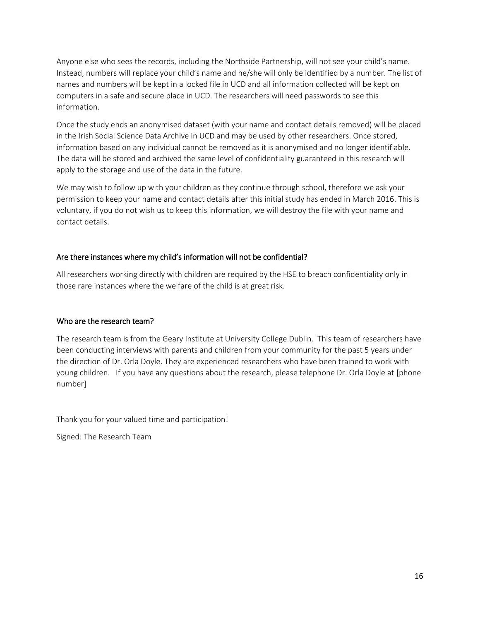Anyone else who sees the records, including the Northside Partnership, will not see your child's name. Instead, numbers will replace your child's name and he/she will only be identified by a number. The list of names and numbers will be kept in a locked file in UCD and all information collected will be kept on computers in a safe and secure place in UCD. The researchers will need passwords to see this information.

Once the study ends an anonymised dataset (with your name and contact details removed) will be placed in the Irish Social Science Data Archive in UCD and may be used by other researchers. Once stored, information based on any individual cannot be removed as it is anonymised and no longer identifiable. The data will be stored and archived the same level of confidentiality guaranteed in this research will apply to the storage and use of the data in the future.

We may wish to follow up with your children as they continue through school, therefore we ask your permission to keep your name and contact details after this initial study has ended in March 2016. This is voluntary, if you do not wish us to keep this information, we will destroy the file with your name and contact details.

#### Are there instances where my child's information will not be confidential?

All researchers working directly with children are required by the HSE to breach confidentiality only in those rare instances where the welfare of the child is at great risk.

#### Who are the research team?

The research team is from the Geary Institute at University College Dublin. This team of researchers have been conducting interviews with parents and children from your community for the past 5 years under the direction of Dr. Orla Doyle. They are experienced researchers who have been trained to work with young children. If you have any questions about the research, please telephone Dr. Orla Doyle at [phone number]

Thank you for your valued time and participation!

Signed: The Research Team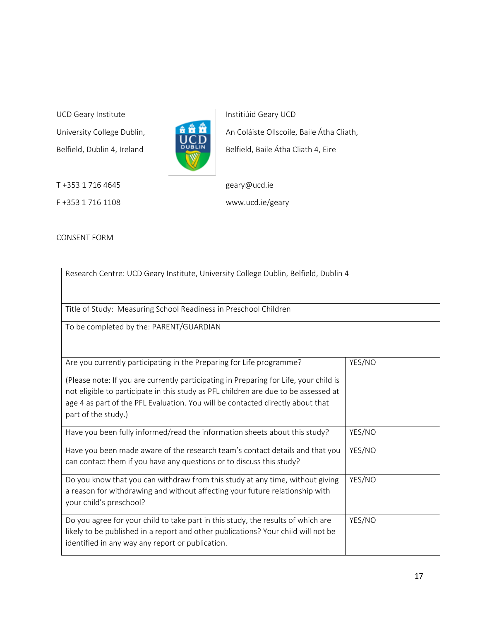UCD Geary Institute Institute Institution Contains a la extreme Instituid Geary UCD



University College Dublin, **An An** An Coláiste Ollscoile, Baile Átha Cliath, Belfield, Dublin 4, Ireland **BUBLIN** Belfield, Baile Átha Cliath 4, Eire

F +353 1 716 1108 www.ucd.ie/geary

T +353 1 716 4645 geary@ucd.ie

CONSENT FORM

| Research Centre: UCD Geary Institute, University College Dublin, Belfield, Dublin 4                                                                                                                                                                                                                                                                           |        |
|---------------------------------------------------------------------------------------------------------------------------------------------------------------------------------------------------------------------------------------------------------------------------------------------------------------------------------------------------------------|--------|
| Title of Study: Measuring School Readiness in Preschool Children                                                                                                                                                                                                                                                                                              |        |
| To be completed by the: PARENT/GUARDIAN                                                                                                                                                                                                                                                                                                                       |        |
| Are you currently participating in the Preparing for Life programme?<br>(Please note: If you are currently participating in Preparing for Life, your child is<br>not eligible to participate in this study as PFL children are due to be assessed at<br>age 4 as part of the PFL Evaluation. You will be contacted directly about that<br>part of the study.) | YES/NO |
| Have you been fully informed/read the information sheets about this study?                                                                                                                                                                                                                                                                                    | YES/NO |
| Have you been made aware of the research team's contact details and that you<br>can contact them if you have any questions or to discuss this study?                                                                                                                                                                                                          | YES/NO |
| Do you know that you can withdraw from this study at any time, without giving<br>a reason for withdrawing and without affecting your future relationship with<br>your child's preschool?                                                                                                                                                                      | YES/NO |
| Do you agree for your child to take part in this study, the results of which are<br>likely to be published in a report and other publications? Your child will not be<br>identified in any way any report or publication.                                                                                                                                     | YES/NO |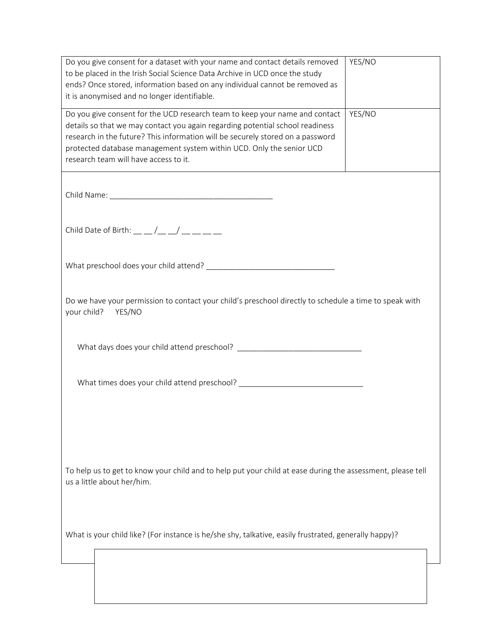| Do you give consent for a dataset with your name and contact details removed<br>to be placed in the Irish Social Science Data Archive in UCD once the study<br>ends? Once stored, information based on any individual cannot be removed as<br>it is anonymised and no longer identifiable.                                                                      | YES/NO |  |
|-----------------------------------------------------------------------------------------------------------------------------------------------------------------------------------------------------------------------------------------------------------------------------------------------------------------------------------------------------------------|--------|--|
| Do you give consent for the UCD research team to keep your name and contact<br>details so that we may contact you again regarding potential school readiness<br>research in the future? This information will be securely stored on a password<br>protected database management system within UCD. Only the senior UCD<br>research team will have access to it. | YES/NO |  |
|                                                                                                                                                                                                                                                                                                                                                                 |        |  |
| Child Date of Birth: $\_\_\_\_\_\_\_\_\_\_\_\_\_\_\_\_\_\_\_\_\_\_\_\_\_\_\_\_\_\_\_\_\_\_\_\_$                                                                                                                                                                                                                                                                 |        |  |
|                                                                                                                                                                                                                                                                                                                                                                 |        |  |
| Do we have your permission to contact your child's preschool directly to schedule a time to speak with<br>your child?<br>YES/NO                                                                                                                                                                                                                                 |        |  |
|                                                                                                                                                                                                                                                                                                                                                                 |        |  |
|                                                                                                                                                                                                                                                                                                                                                                 |        |  |
|                                                                                                                                                                                                                                                                                                                                                                 |        |  |
| To help us to get to know your child and to help put your child at ease during the assessment, please tell<br>us a little about her/him.                                                                                                                                                                                                                        |        |  |
| What is your child like? (For instance is he/she shy, talkative, easily frustrated, generally happy)?                                                                                                                                                                                                                                                           |        |  |
|                                                                                                                                                                                                                                                                                                                                                                 |        |  |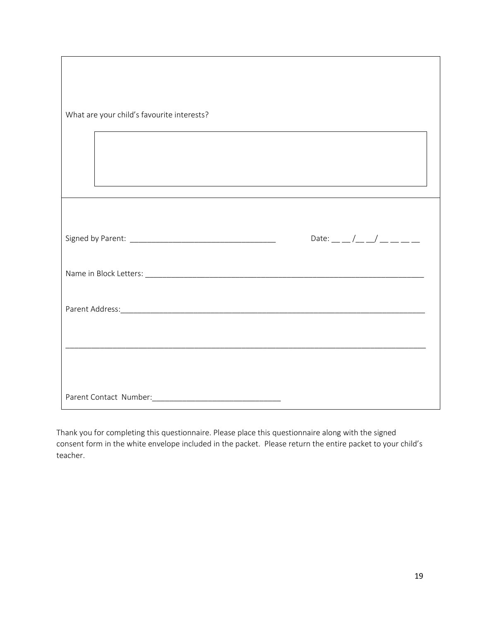| What are your child's favourite interests?                                       |                          |
|----------------------------------------------------------------------------------|--------------------------|
| ,我们也不能在这里的时候,我们也不能在这里的时候,我们也不能会在这里的时候,我们也不能会在这里的时候,我们也不能会在这里的时候,我们也不能会在这里的时候,我们也 |                          |
|                                                                                  |                          |
|                                                                                  | Date: __ _/_ _/ __ _ _ _ |
|                                                                                  |                          |
|                                                                                  |                          |
|                                                                                  |                          |
|                                                                                  |                          |
|                                                                                  |                          |

Thank you for completing this questionnaire. Please place this questionnaire along with the signed consent form in the white envelope included in the packet. Please return the entire packet to your child's teacher.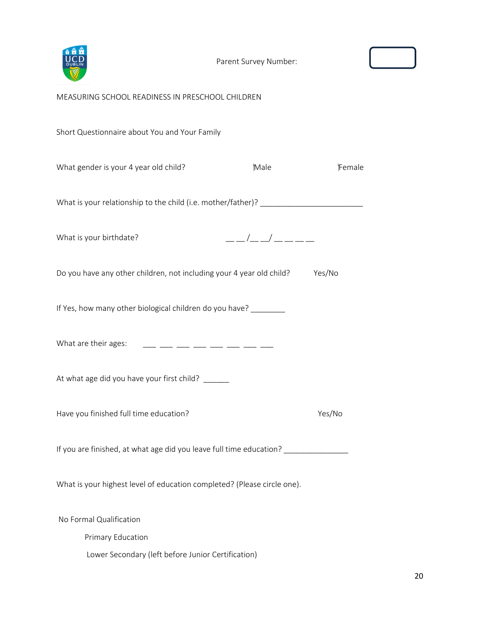

#### MEASURING SCHOOL READINESS IN PRESCHOOL CHILDREN

Short Questionnaire about You and Your Family

| What gender is your 4 year old child?                                             | Male        | Female |
|-----------------------------------------------------------------------------------|-------------|--------|
| What is your relationship to the child (i.e. mother/father)? ____________________ |             |        |
| What is your birthdate?                                                           | __/__/_____ |        |
| Do you have any other children, not including your 4 year old child?              |             | Yes/No |
| If Yes, how many other biological children do you have? _______                   |             |        |
| What are their ages: ____ ___ ___ ___ ___ ___ ___ ___                             |             |        |
| At what age did you have your first child? ______                                 |             |        |
| Have you finished full time education?                                            |             | Yes/No |
| If you are finished, at what age did you leave full time education? _____________ |             |        |
| What is your highest level of education completed? (Please circle one).           |             |        |
| No Formal Qualification<br>Primary Education                                      |             |        |

Lower Secondary (left before Junior Certification)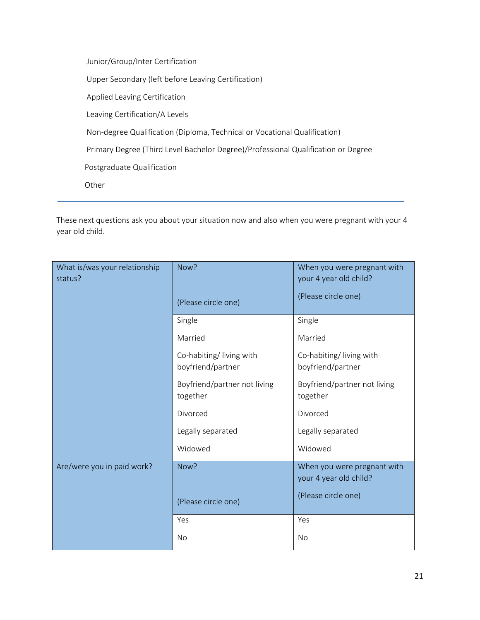Junior/Group/Inter Certification Upper Secondary (left before Leaving Certification) Applied Leaving Certification Leaving Certification/A Levels Non-degree Qualification (Diploma, Technical or Vocational Qualification) Primary Degree (Third Level Bachelor Degree)/Professional Qualification or Degree Postgraduate Qualification Other

These next questions ask you about your situation now and also when you were pregnant with your 4 year old child.

| What is/was your relationship<br>status? | Now?                                         | When you were pregnant with<br>your 4 year old child? |  |
|------------------------------------------|----------------------------------------------|-------------------------------------------------------|--|
|                                          | (Please circle one)                          | (Please circle one)                                   |  |
|                                          | Single                                       | Single                                                |  |
|                                          | Married                                      | Married                                               |  |
|                                          | Co-habiting/living with<br>boyfriend/partner | Co-habiting/living with<br>boyfriend/partner          |  |
|                                          | Boyfriend/partner not living<br>together     | Boyfriend/partner not living<br>together              |  |
|                                          | Divorced                                     | Divorced                                              |  |
|                                          | Legally separated                            | Legally separated                                     |  |
|                                          | Widowed                                      | Widowed                                               |  |
| Are/were you in paid work?               | Now?                                         | When you were pregnant with<br>your 4 year old child? |  |
|                                          | (Please circle one)                          | (Please circle one)                                   |  |
|                                          | Yes                                          | Yes                                                   |  |
|                                          | No                                           | No                                                    |  |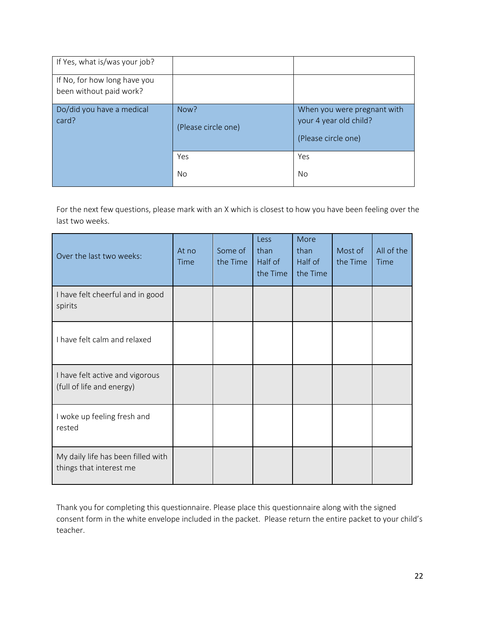| If Yes, what is/was your job?                           |                             |                                                                              |
|---------------------------------------------------------|-----------------------------|------------------------------------------------------------------------------|
| If No, for how long have you<br>been without paid work? |                             |                                                                              |
| Do/did you have a medical<br>card?                      | Now?<br>(Please circle one) | When you were pregnant with<br>your 4 year old child?<br>(Please circle one) |
|                                                         | Yes<br>No                   | Yes<br>No.                                                                   |
|                                                         |                             |                                                                              |

For the next few questions, please mark with an X which is closest to how you have been feeling over the last two weeks.

| Over the last two weeks:                                      | At no<br><b>Time</b> | Some of<br>the Time | Less<br>than<br>Half of<br>the Time | More<br>than<br>Half of<br>the Time | Most of<br>the Time | All of the<br>Time |
|---------------------------------------------------------------|----------------------|---------------------|-------------------------------------|-------------------------------------|---------------------|--------------------|
| I have felt cheerful and in good<br>spirits                   |                      |                     |                                     |                                     |                     |                    |
| I have felt calm and relaxed                                  |                      |                     |                                     |                                     |                     |                    |
| I have felt active and vigorous<br>(full of life and energy)  |                      |                     |                                     |                                     |                     |                    |
| I woke up feeling fresh and<br>rested                         |                      |                     |                                     |                                     |                     |                    |
| My daily life has been filled with<br>things that interest me |                      |                     |                                     |                                     |                     |                    |

Thank you for completing this questionnaire. Please place this questionnaire along with the signed consent form in the white envelope included in the packet. Please return the entire packet to your child's teacher.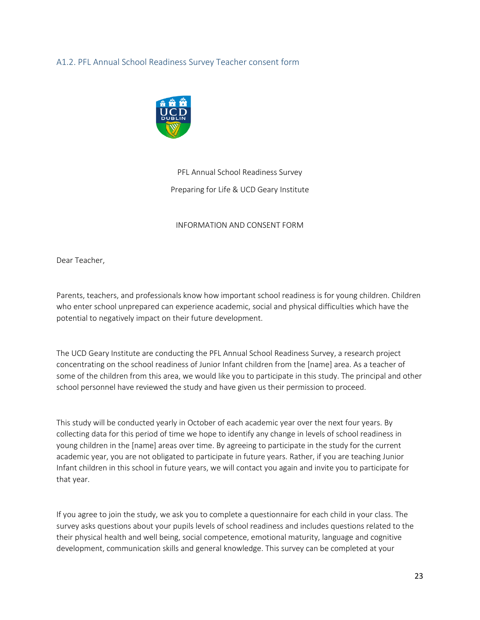#### <span id="page-24-0"></span>A1.2. PFL Annual School Readiness Survey Teacher consent form



# PFL Annual School Readiness Survey Preparing for Life & UCD Geary Institute

#### INFORMATION AND CONSENT FORM

Dear Teacher,

Parents, teachers, and professionals know how important school readiness is for young children. Children who enter school unprepared can experience academic, social and physical difficulties which have the potential to negatively impact on their future development.

The UCD Geary Institute are conducting the PFL Annual School Readiness Survey, a research project concentrating on the school readiness of Junior Infant children from the [name] area. As a teacher of some of the children from this area, we would like you to participate in this study. The principal and other school personnel have reviewed the study and have given us their permission to proceed.

This study will be conducted yearly in October of each academic year over the next four years. By collecting data for this period of time we hope to identify any change in levels of school readiness in young children in the [name] areas over time. By agreeing to participate in the study for the current academic year, you are not obligated to participate in future years. Rather, if you are teaching Junior Infant children in this school in future years, we will contact you again and invite you to participate for that year.

If you agree to join the study, we ask you to complete a questionnaire for each child in your class. The survey asks questions about your pupils levels of school readiness and includes questions related to the their physical health and well being, social competence, emotional maturity, language and cognitive development, communication skills and general knowledge. This survey can be completed at your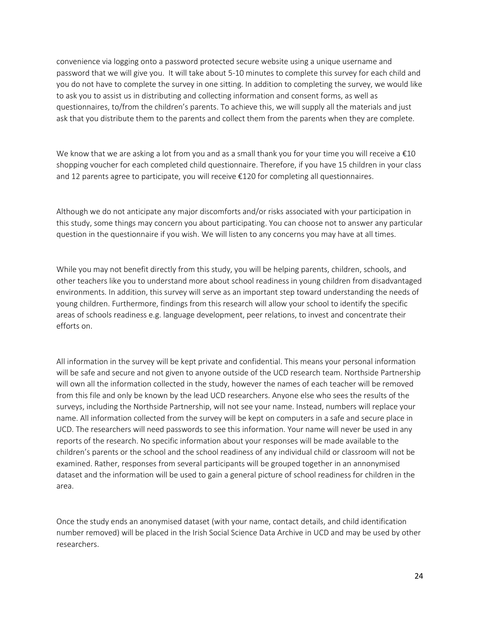convenience via logging onto a password protected secure website using a unique username and password that we will give you. It will take about 5-10 minutes to complete this survey for each child and you do not have to complete the survey in one sitting. In addition to completing the survey, we would like to ask you to assist us in distributing and collecting information and consent forms, as well as questionnaires, to/from the children's parents. To achieve this, we will supply all the materials and just ask that you distribute them to the parents and collect them from the parents when they are complete.

We know that we are asking a lot from you and as a small thank you for your time you will receive a  $\epsilon$ 10 shopping voucher for each completed child questionnaire. Therefore, if you have 15 children in your class and 12 parents agree to participate, you will receive €120 for completing all questionnaires.

Although we do not anticipate any major discomforts and/or risks associated with your participation in this study, some things may concern you about participating. You can choose not to answer any particular question in the questionnaire if you wish. We will listen to any concerns you may have at all times.

While you may not benefit directly from this study, you will be helping parents, children, schools, and other teachers like you to understand more about school readiness in young children from disadvantaged environments. In addition, this survey will serve as an important step toward understanding the needs of young children. Furthermore, findings from this research will allow your school to identify the specific areas of schools readiness e.g. language development, peer relations, to invest and concentrate their efforts on.

All information in the survey will be kept private and confidential. This means your personal information will be safe and secure and not given to anyone outside of the UCD research team. Northside Partnership will own all the information collected in the study, however the names of each teacher will be removed from this file and only be known by the lead UCD researchers. Anyone else who sees the results of the surveys, including the Northside Partnership, will not see your name. Instead, numbers will replace your name. All information collected from the survey will be kept on computers in a safe and secure place in UCD. The researchers will need passwords to see this information. Your name will never be used in any reports of the research. No specific information about your responses will be made available to the children's parents or the school and the school readiness of any individual child or classroom will not be examined. Rather, responses from several participants will be grouped together in an annonymised dataset and the information will be used to gain a general picture of school readiness for children in the area.

Once the study ends an anonymised dataset (with your name, contact details, and child identification number removed) will be placed in the Irish Social Science Data Archive in UCD and may be used by other researchers.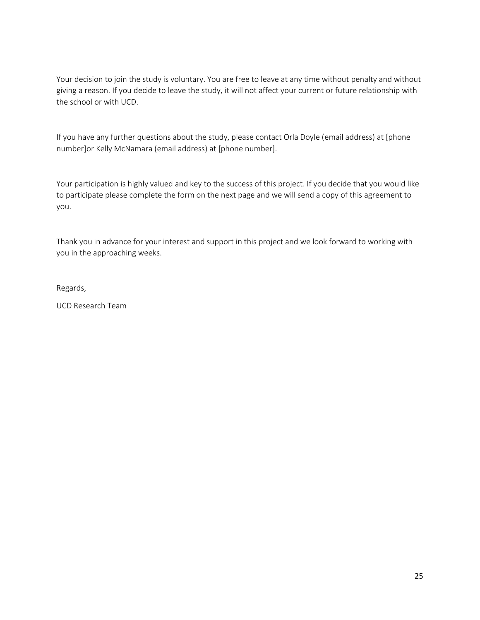Your decision to join the study is voluntary. You are free to leave at any time without penalty and without giving a reason. If you decide to leave the study, it will not affect your current or future relationship with the school or with UCD.

If you have any further questions about the study, please contact Orla Doyle (email address) at [phone number]or Kelly McNamara (email address) at [phone number].

Your participation is highly valued and key to the success of this project. If you decide that you would like to participate please complete the form on the next page and we will send a copy of this agreement to you.

Thank you in advance for your interest and support in this project and we look forward to working with you in the approaching weeks.

Regards,

UCD Research Team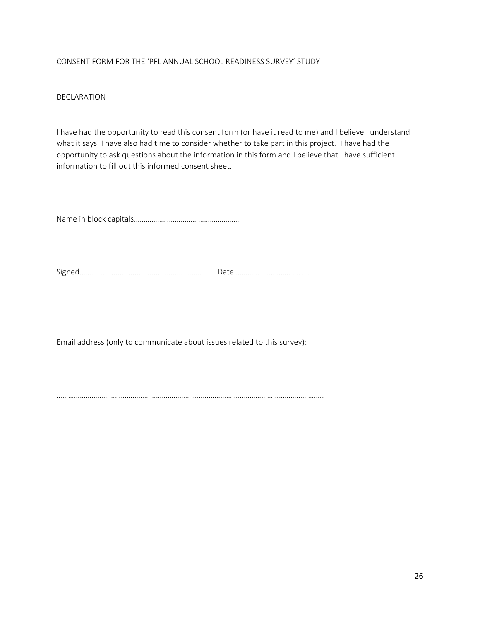#### CONSENT FORM FOR THE 'PFL ANNUAL SCHOOL READINESS SURVEY' STUDY

#### DECLARATION

I have had the opportunity to read this consent form (or have it read to me) and I believe I understand what it says. I have also had time to consider whether to take part in this project. I have had the opportunity to ask questions about the information in this form and I believe that I have sufficient information to fill out this informed consent sheet.

Name in block capitals………………………………………………

Signed…………............................................... Date…………………………………

Email address (only to communicate about issues related to this survey):

………………………………………………………………………………………………………………………..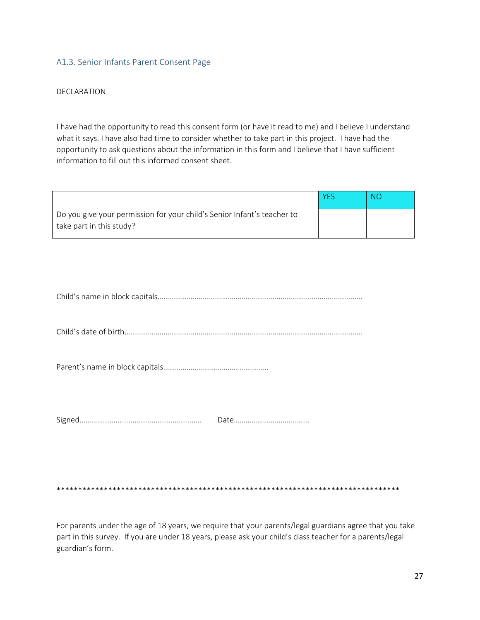#### <span id="page-28-0"></span>A1.3. Senior Infants Parent Consent Page

#### DECLARATION

I have had the opportunity to read this consent form (or have it read to me) and I believe I understand what it says. I have also had time to consider whether to take part in this project. I have had the opportunity to ask questions about the information in this form and I believe that I have sufficient information to fill out this informed consent sheet.

|                                                                                                     | <b>YFS</b> | NO |
|-----------------------------------------------------------------------------------------------------|------------|----|
| Do you give your permission for your child's Senior Infant's teacher to<br>take part in this study? |            |    |

|--|

Child's date of birth…………………………………………………………………………………………………………..

Parent's name in block capitals………………………………………………

Signed…………............................................... Date…………………………………

\*\*\*\*\*\*\*\*\*\*\*\*\*\*\*\*\*\*\*\*\*\*\*\*\*\*\*\*\*\*\*\*\*\*\*\*\*\*\*\*\*\*\*\*\*\*\*\*\*\*\*\*\*\*\*\*\*\*\*\*\*\*\*\*\*\*\*\*\*\*\*\*\*\*\*\*\*\*\*\*

For parents under the age of 18 years, we require that your parents/legal guardians agree that you take part in this survey. If you are under 18 years, please ask your child's class teacher for a parents/legal guardian's form.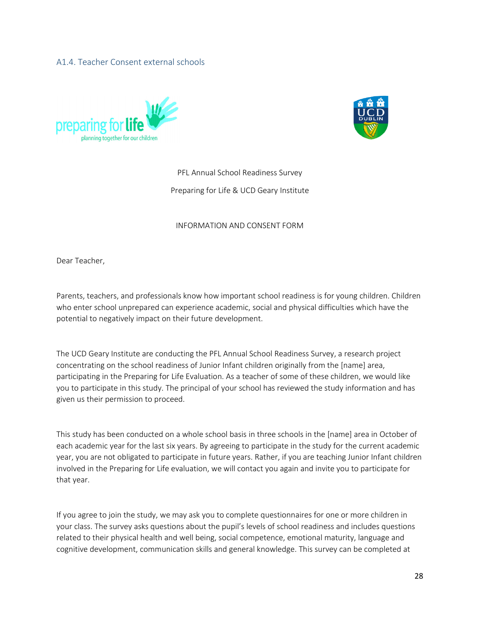#### <span id="page-29-0"></span>A1.4. Teacher Consent external schools





PFL Annual School Readiness Survey

Preparing for Life & UCD Geary Institute

#### INFORMATION AND CONSENT FORM

Dear Teacher,

Parents, teachers, and professionals know how important school readiness is for young children. Children who enter school unprepared can experience academic, social and physical difficulties which have the potential to negatively impact on their future development.

The UCD Geary Institute are conducting the PFL Annual School Readiness Survey, a research project concentrating on the school readiness of Junior Infant children originally from the [name] area, participating in the Preparing for Life Evaluation. As a teacher of some of these children, we would like you to participate in this study. The principal of your school has reviewed the study information and has given us their permission to proceed.

This study has been conducted on a whole school basis in three schools in the [name] area in October of each academic year for the last six years. By agreeing to participate in the study for the current academic year, you are not obligated to participate in future years. Rather, if you are teaching Junior Infant children involved in the Preparing for Life evaluation, we will contact you again and invite you to participate for that year.

If you agree to join the study, we may ask you to complete questionnaires for one or more children in your class. The survey asks questions about the pupil's levels of school readiness and includes questions related to their physical health and well being, social competence, emotional maturity, language and cognitive development, communication skills and general knowledge. This survey can be completed at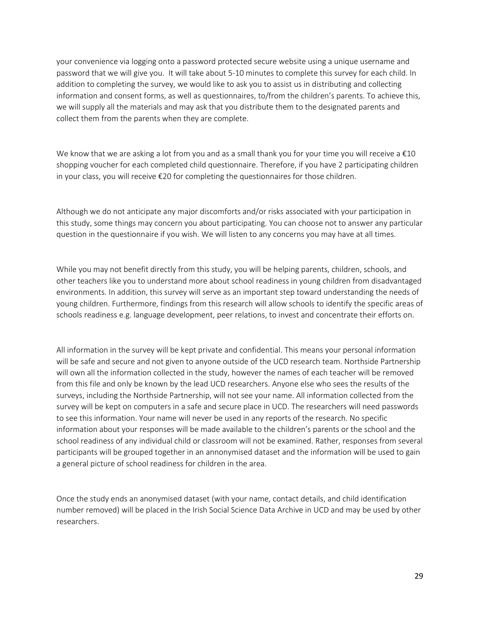your convenience via logging onto a password protected secure website using a unique username and password that we will give you. It will take about 5-10 minutes to complete this survey for each child. In addition to completing the survey, we would like to ask you to assist us in distributing and collecting information and consent forms, as well as questionnaires, to/from the children's parents. To achieve this, we will supply all the materials and may ask that you distribute them to the designated parents and collect them from the parents when they are complete.

We know that we are asking a lot from you and as a small thank you for your time you will receive a  $\epsilon$ 10 shopping voucher for each completed child questionnaire. Therefore, if you have 2 participating children in your class, you will receive €20 for completing the questionnaires for those children.

Although we do not anticipate any major discomforts and/or risks associated with your participation in this study, some things may concern you about participating. You can choose not to answer any particular question in the questionnaire if you wish. We will listen to any concerns you may have at all times.

While you may not benefit directly from this study, you will be helping parents, children, schools, and other teachers like you to understand more about school readiness in young children from disadvantaged environments. In addition, this survey will serve as an important step toward understanding the needs of young children. Furthermore, findings from this research will allow schools to identify the specific areas of schools readiness e.g. language development, peer relations, to invest and concentrate their efforts on.

All information in the survey will be kept private and confidential. This means your personal information will be safe and secure and not given to anyone outside of the UCD research team. Northside Partnership will own all the information collected in the study, however the names of each teacher will be removed from this file and only be known by the lead UCD researchers. Anyone else who sees the results of the surveys, including the Northside Partnership, will not see your name. All information collected from the survey will be kept on computers in a safe and secure place in UCD. The researchers will need passwords to see this information. Your name will never be used in any reports of the research. No specific information about your responses will be made available to the children's parents or the school and the school readiness of any individual child or classroom will not be examined. Rather, responses from several participants will be grouped together in an annonymised dataset and the information will be used to gain a general picture of school readiness for children in the area.

Once the study ends an anonymised dataset (with your name, contact details, and child identification number removed) will be placed in the Irish Social Science Data Archive in UCD and may be used by other researchers.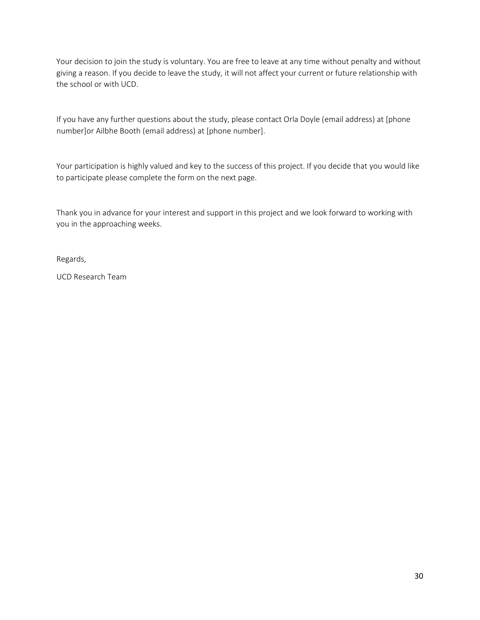Your decision to join the study is voluntary. You are free to leave at any time without penalty and without giving a reason. If you decide to leave the study, it will not affect your current or future relationship with the school or with UCD.

If you have any further questions about the study, please contact Orla Doyle (email address) at [phone number]or Ailbhe Booth (email address) at [phone number].

Your participation is highly valued and key to the success of this project. If you decide that you would like to participate please complete the form on the next page.

Thank you in advance for your interest and support in this project and we look forward to working with you in the approaching weeks.

Regards,

UCD Research Team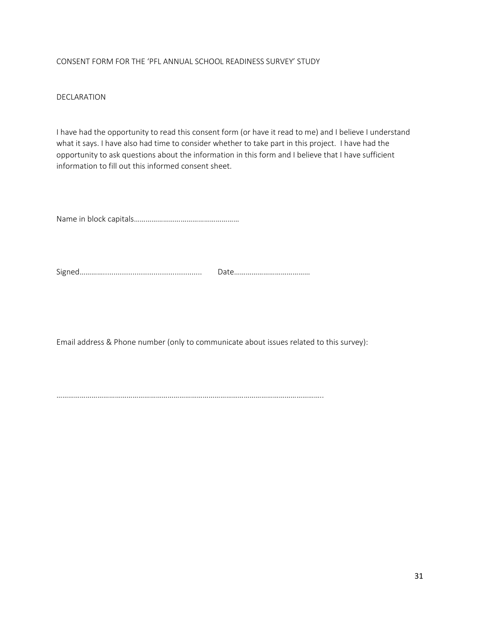#### CONSENT FORM FOR THE 'PFL ANNUAL SCHOOL READINESS SURVEY' STUDY

#### DECLARATION

I have had the opportunity to read this consent form (or have it read to me) and I believe I understand what it says. I have also had time to consider whether to take part in this project. I have had the opportunity to ask questions about the information in this form and I believe that I have sufficient information to fill out this informed consent sheet.

Name in block capitals………………………………………………

Signed…………............................................... Date…………………………………

Email address & Phone number (only to communicate about issues related to this survey):

………………………………………………………………………………………………………………………..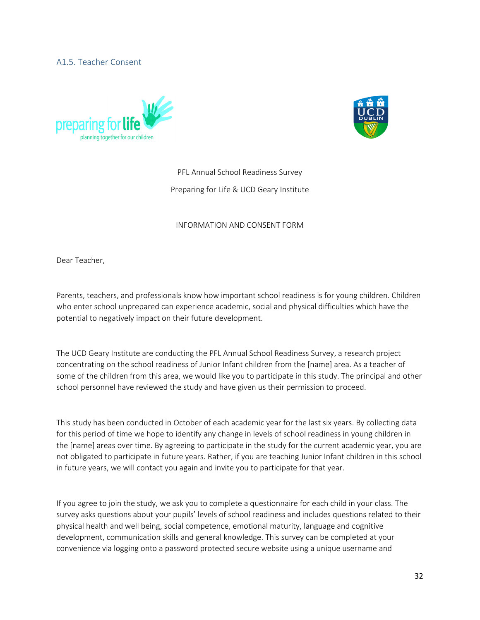#### <span id="page-33-0"></span>A1.5. Teacher Consent





# PFL Annual School Readiness Survey Preparing for Life & UCD Geary Institute

#### INFORMATION AND CONSENT FORM

Dear Teacher,

Parents, teachers, and professionals know how important school readiness is for young children. Children who enter school unprepared can experience academic, social and physical difficulties which have the potential to negatively impact on their future development.

The UCD Geary Institute are conducting the PFL Annual School Readiness Survey, a research project concentrating on the school readiness of Junior Infant children from the [name] area. As a teacher of some of the children from this area, we would like you to participate in this study. The principal and other school personnel have reviewed the study and have given us their permission to proceed.

This study has been conducted in October of each academic year for the last six years. By collecting data for this period of time we hope to identify any change in levels of school readiness in young children in the [name] areas over time. By agreeing to participate in the study for the current academic year, you are not obligated to participate in future years. Rather, if you are teaching Junior Infant children in this school in future years, we will contact you again and invite you to participate for that year.

If you agree to join the study, we ask you to complete a questionnaire for each child in your class. The survey asks questions about your pupils' levels of school readiness and includes questions related to their physical health and well being, social competence, emotional maturity, language and cognitive development, communication skills and general knowledge. This survey can be completed at your convenience via logging onto a password protected secure website using a unique username and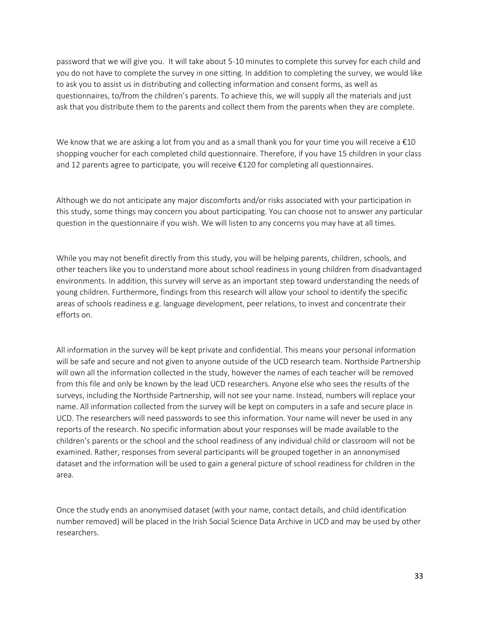password that we will give you. It will take about 5-10 minutes to complete this survey for each child and you do not have to complete the survey in one sitting. In addition to completing the survey, we would like to ask you to assist us in distributing and collecting information and consent forms, as well as questionnaires, to/from the children's parents. To achieve this, we will supply all the materials and just ask that you distribute them to the parents and collect them from the parents when they are complete.

We know that we are asking a lot from you and as a small thank you for your time you will receive a €10 shopping voucher for each completed child questionnaire. Therefore, if you have 15 children in your class and 12 parents agree to participate, you will receive €120 for completing all questionnaires.

Although we do not anticipate any major discomforts and/or risks associated with your participation in this study, some things may concern you about participating. You can choose not to answer any particular question in the questionnaire if you wish. We will listen to any concerns you may have at all times.

While you may not benefit directly from this study, you will be helping parents, children, schools, and other teachers like you to understand more about school readiness in young children from disadvantaged environments. In addition, this survey will serve as an important step toward understanding the needs of young children. Furthermore, findings from this research will allow your school to identify the specific areas of schools readiness e.g. language development, peer relations, to invest and concentrate their efforts on.

All information in the survey will be kept private and confidential. This means your personal information will be safe and secure and not given to anyone outside of the UCD research team. Northside Partnership will own all the information collected in the study, however the names of each teacher will be removed from this file and only be known by the lead UCD researchers. Anyone else who sees the results of the surveys, including the Northside Partnership, will not see your name. Instead, numbers will replace your name. All information collected from the survey will be kept on computers in a safe and secure place in UCD. The researchers will need passwords to see this information. Your name will never be used in any reports of the research. No specific information about your responses will be made available to the children's parents or the school and the school readiness of any individual child or classroom will not be examined. Rather, responses from several participants will be grouped together in an annonymised dataset and the information will be used to gain a general picture of school readiness for children in the area.

Once the study ends an anonymised dataset (with your name, contact details, and child identification number removed) will be placed in the Irish Social Science Data Archive in UCD and may be used by other researchers.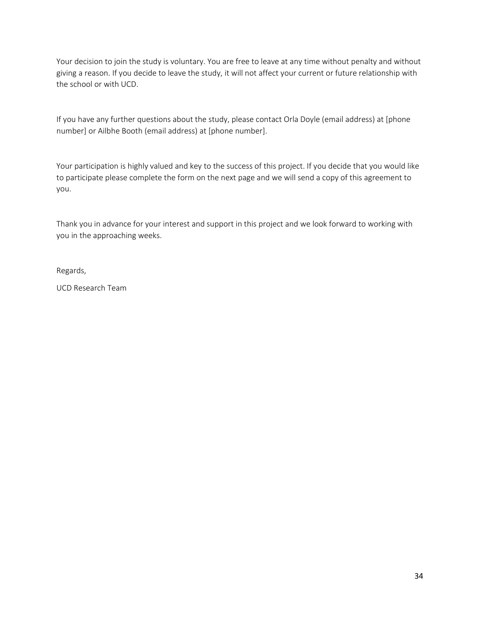Your decision to join the study is voluntary. You are free to leave at any time without penalty and without giving a reason. If you decide to leave the study, it will not affect your current or future relationship with the school or with UCD.

If you have any further questions about the study, please contact Orla Doyle (email address) at [phone number] or Ailbhe Booth (email address) at [phone number].

Your participation is highly valued and key to the success of this project. If you decide that you would like to participate please complete the form on the next page and we will send a copy of this agreement to you.

Thank you in advance for your interest and support in this project and we look forward to working with you in the approaching weeks.

Regards,

UCD Research Team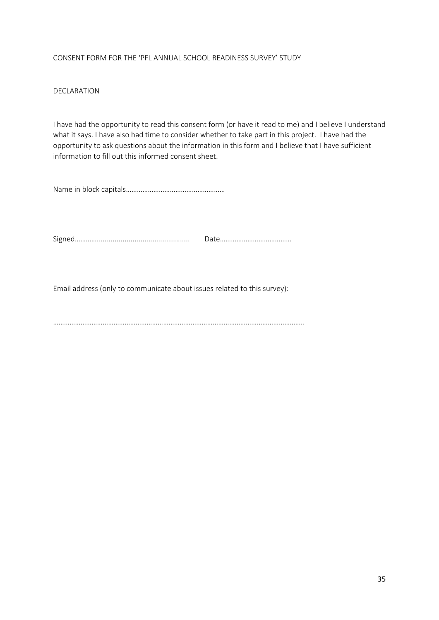#### CONSENT FORM FOR THE 'PFL ANNUAL SCHOOL READINESS SURVEY' STUDY

#### DECLARATION

I have had the opportunity to read this consent form (or have it read to me) and I believe I understand what it says. I have also had time to consider whether to take part in this project. I have had the opportunity to ask questions about the information in this form and I believe that I have sufficient information to fill out this informed consent sheet.

Name in block capitals………………………………………………

Signed…………............................................... Date…………………………………

Email address (only to communicate about issues related to this survey):

………………………………………………………………………………………………………………………..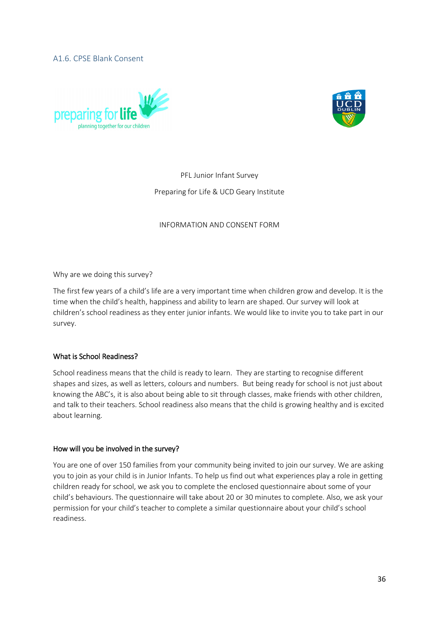<span id="page-37-0"></span>A1.6. CPSE Blank Consent





PFL Junior Infant Survey Preparing for Life & UCD Geary Institute

#### INFORMATION AND CONSENT FORM

Why are we doing this survey?

The first few years of a child's life are a very important time when children grow and develop. It is the time when the child's health, happiness and ability to learn are shaped. Our survey will look at children's school readiness as they enter junior infants. We would like to invite you to take part in our survey.

#### What is School Readiness?

School readiness means that the child is ready to learn. They are starting to recognise different shapes and sizes, as well as letters, colours and numbers. But being ready for school is not just about knowing the ABC's, it is also about being able to sit through classes, make friends with other children, and talk to their teachers. School readiness also means that the child is growing healthy and is excited about learning.

#### How will you be involved in the survey?

You are one of over 150 families from your community being invited to join our survey. We are asking you to join as your child is in Junior Infants. To help us find out what experiences play a role in getting children ready for school, we ask you to complete the enclosed questionnaire about some of your child's behaviours. The questionnaire will take about 20 or 30 minutes to complete. Also, we ask your permission for your child's teacher to complete a similar questionnaire about your child's school readiness.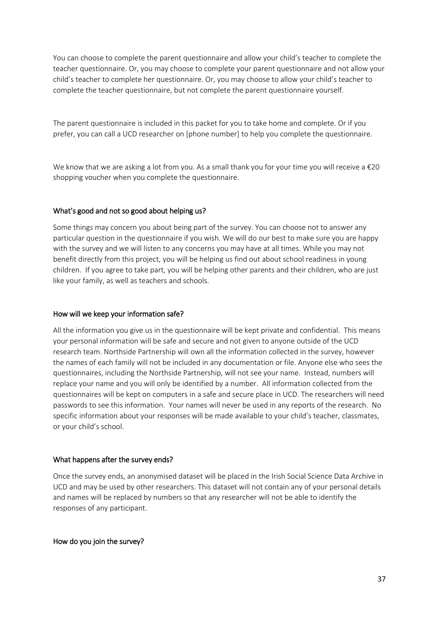You can choose to complete the parent questionnaire and allow your child's teacher to complete the teacher questionnaire. Or, you may choose to complete your parent questionnaire and not allow your child's teacher to complete her questionnaire. Or, you may choose to allow your child's teacher to complete the teacher questionnaire, but not complete the parent questionnaire yourself.

The parent questionnaire is included in this packet for you to take home and complete. Or if you prefer, you can call a UCD researcher on [phone number] to help you complete the questionnaire.

We know that we are asking a lot from you. As a small thank you for your time you will receive a €20 shopping voucher when you complete the questionnaire.

#### What's good and not so good about helping us?

Some things may concern you about being part of the survey. You can choose not to answer any particular question in the questionnaire if you wish. We will do our best to make sure you are happy with the survey and we will listen to any concerns you may have at all times. While you may not benefit directly from this project, you will be helping us find out about school readiness in young children. If you agree to take part, you will be helping other parents and their children, who are just like your family, as well as teachers and schools.

#### How will we keep your information safe?

All the information you give us in the questionnaire will be kept private and confidential. This means your personal information will be safe and secure and not given to anyone outside of the UCD research team. Northside Partnership will own all the information collected in the survey, however the names of each family will not be included in any documentation or file. Anyone else who sees the questionnaires, including the Northside Partnership, will not see your name. Instead, numbers will replace your name and you will only be identified by a number. All information collected from the questionnaires will be kept on computers in a safe and secure place in UCD. The researchers will need passwords to see this information. Your names will never be used in any reports of the research. No specific information about your responses will be made available to your child's teacher, classmates, or your child's school.

#### What happens after the survey ends?

Once the survey ends, an anonymised dataset will be placed in the Irish Social Science Data Archive in UCD and may be used by other researchers. This dataset will not contain any of your personal details and names will be replaced by numbers so that any researcher will not be able to identify the responses of any participant.

How do you join the survey?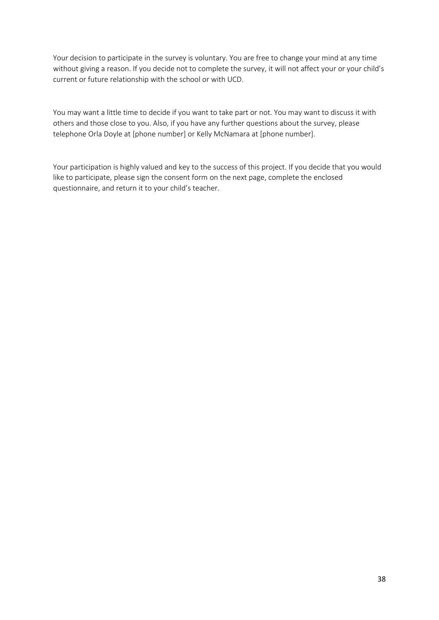Your decision to participate in the survey is voluntary. You are free to change your mind at any time without giving a reason. If you decide not to complete the survey, it will not affect your or your child's current or future relationship with the school or with UCD.

You may want a little time to decide if you want to take part or not. You may want to discuss it with others and those close to you. Also, if you have any further questions about the survey, please telephone Orla Doyle at [phone number] or Kelly McNamara at [phone number].

Your participation is highly valued and key to the success of this project. If you decide that you would like to participate, please sign the consent form on the next page, complete the enclosed questionnaire, and return it to your child's teacher.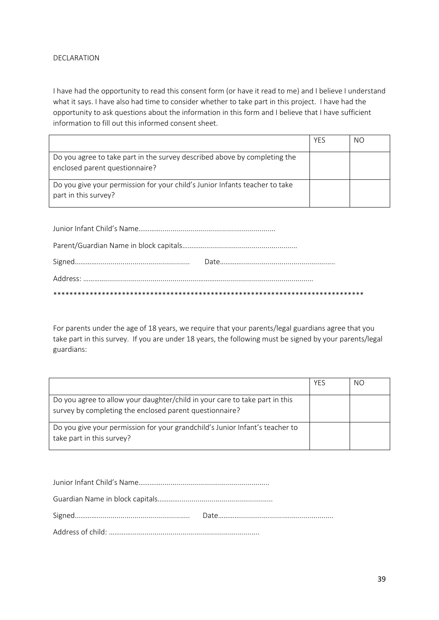#### DECLARATION

I have had the opportunity to read this consent form (or have it read to me) and I believe I understand what it says. I have also had time to consider whether to take part in this project. I have had the opportunity to ask questions about the information in this form and I believe that I have sufficient information to fill out this informed consent sheet.

|                                                                                                             | <b>YFS</b> | NO. |
|-------------------------------------------------------------------------------------------------------------|------------|-----|
| Do you agree to take part in the survey described above by completing the<br>enclosed parent questionnaire? |            |     |
| Do you give your permission for your child's Junior Infants teacher to take<br>part in this survey?         |            |     |

For parents under the age of 18 years, we require that your parents/legal guardians agree that you take part in this survey. If you are under 18 years, the following must be signed by your parents/legal guardians:

|                                                                                                                                        | <b>YFS</b> | NO. |
|----------------------------------------------------------------------------------------------------------------------------------------|------------|-----|
| Do you agree to allow your daughter/child in your care to take part in this<br>survey by completing the enclosed parent questionnaire? |            |     |
| Do you give your permission for your grandchild's Junior Infant's teacher to<br>take part in this survey?                              |            |     |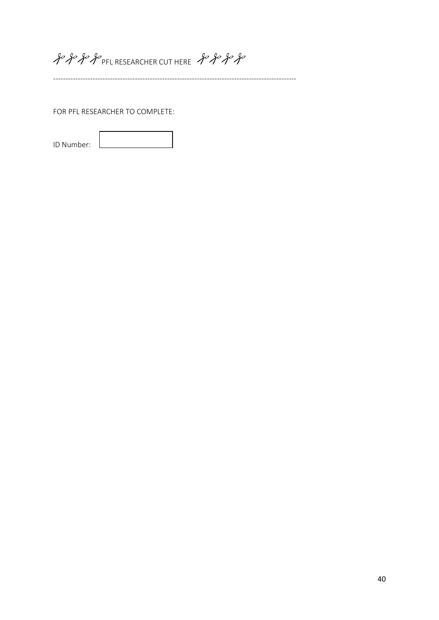# ge ge for P PFL RESEARCHER CUT HERE go go go

--------------------------------------------------------------------------------------------------

FOR PFL RESEARCHER TO COMPLETE:

ID Number: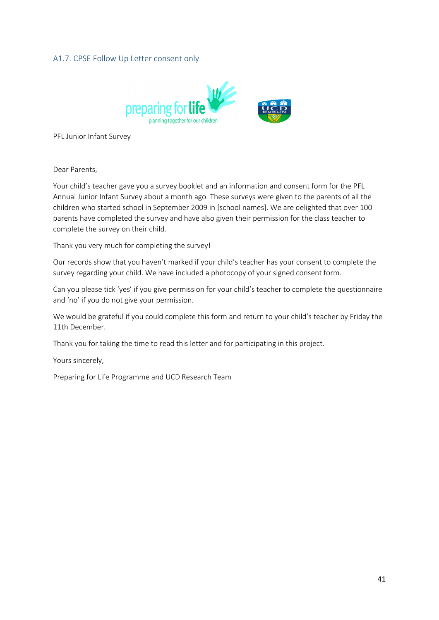#### <span id="page-42-0"></span>A1.7. CPSE Follow Up Letter consent only



PFL Junior Infant Survey

Dear Parents,

Your child's teacher gave you a survey booklet and an information and consent form for the PFL Annual Junior Infant Survey about a month ago. These surveys were given to the parents of all the children who started school in September 2009 in [school names]. We are delighted that over 100 parents have completed the survey and have also given their permission for the class teacher to complete the survey on their child.

Thank you very much for completing the survey!

Our records show that you haven't marked if your child's teacher has your consent to complete the survey regarding your child. We have included a photocopy of your signed consent form.

Can you please tick 'yes' if you give permission for your child's teacher to complete the questionnaire and 'no' if you do not give your permission.

We would be grateful if you could complete this form and return to your child's teacher by Friday the 11th December.

Thank you for taking the time to read this letter and for participating in this project.

Yours sincerely,

Preparing for Life Programme and UCD Research Team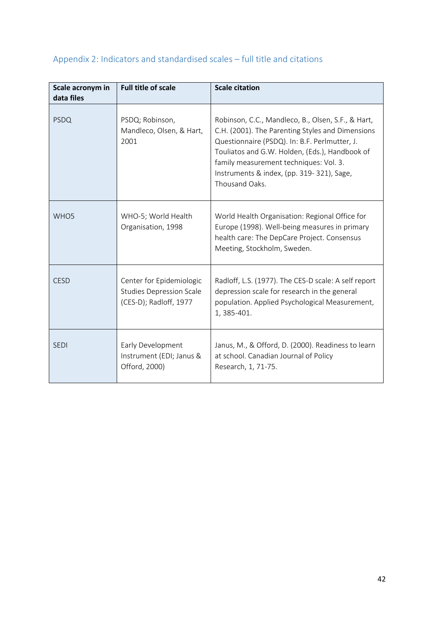| Scale acronym in<br>data files | <b>Full title of scale</b>                                                            | <b>Scale citation</b>                                                                                                                                                                                                                                                                                              |
|--------------------------------|---------------------------------------------------------------------------------------|--------------------------------------------------------------------------------------------------------------------------------------------------------------------------------------------------------------------------------------------------------------------------------------------------------------------|
| <b>PSDQ</b>                    | PSDQ; Robinson,<br>Mandleco, Olsen, & Hart,<br>2001                                   | Robinson, C.C., Mandleco, B., Olsen, S.F., & Hart,<br>C.H. (2001). The Parenting Styles and Dimensions<br>Questionnaire (PSDQ). In: B.F. Perlmutter, J.<br>Touliatos and G.W. Holden, (Eds.), Handbook of<br>family measurement techniques: Vol. 3.<br>Instruments & index, (pp. 319-321), Sage,<br>Thousand Oaks. |
| WHO <sub>5</sub>               | WHO-5; World Health<br>Organisation, 1998                                             | World Health Organisation: Regional Office for<br>Europe (1998). Well-being measures in primary<br>health care: The DepCare Project. Consensus<br>Meeting, Stockholm, Sweden.                                                                                                                                      |
| <b>CESD</b>                    | Center for Epidemiologic<br><b>Studies Depression Scale</b><br>(CES-D); Radloff, 1977 | Radloff, L.S. (1977). The CES-D scale: A self report<br>depression scale for research in the general<br>population. Applied Psychological Measurement,<br>1, 385-401.                                                                                                                                              |
| <b>SEDI</b>                    | Early Development<br>Instrument (EDI; Janus &<br>Offord, 2000)                        | Janus, M., & Offord, D. (2000). Readiness to learn<br>at school. Canadian Journal of Policy<br>Research, 1, 71-75.                                                                                                                                                                                                 |

# <span id="page-43-0"></span>Appendix 2: Indicators and standardised scales – full title and citations